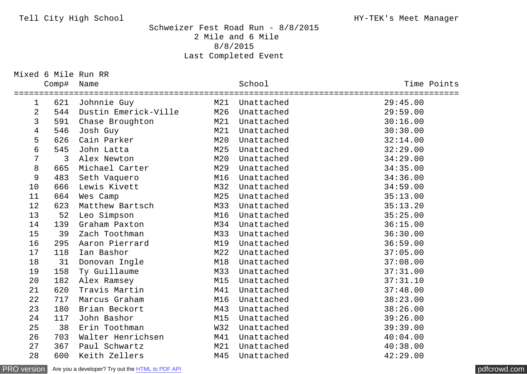## Tell City High School **High School** HY-TEK's Meet Manager

## Schweizer Fest Road Run - 8/8/2015 2 Mile and 6 Mile 8/8/2015 Last Completed Event

Mixed 6 Mile Run RR

|                          | Comp# | Name                 |                        | School     | Time Points             |
|--------------------------|-------|----------------------|------------------------|------------|-------------------------|
| $\mathbf{1}$             | 621   | Johnnie Guy          | ===============<br>M21 | Unattached | ===========<br>29:45.00 |
| $\overline{2}$           | 544   | Dustin Emerick-Ville | M26                    | Unattached | 29:59.00                |
| $\mathsf{3}$             | 591   | Chase Broughton      | M21                    | Unattached | 30:16.00                |
| $\overline{\mathcal{A}}$ | 546   | Josh Guy             | M21                    | Unattached | 30:30.00                |
| 5                        | 626   | Cain Parker          | M20                    | Unattached | 32:14.00                |
| 6                        | 545   | John Latta           | M25                    | Unattached | 32:29.00                |
| $\overline{7}$           | 3     | Alex Newton          | M20                    | Unattached | 34:29.00                |
| 8                        | 665   | Michael Carter       | M29                    | Unattached | 34:35.00                |
| 9                        | 483   | Seth Vaquero         | M16                    | Unattached | 34:36.00                |
| 10                       | 666   | Lewis Kivett         | M32                    | Unattached | 34:59.00                |
| 11                       | 664   | Wes Camp             | M25                    | Unattached | 35:13.00                |
| 12                       | 623   | Matthew Bartsch      | M33                    | Unattached | 35:13.20                |
| 13                       | 52    | Leo Simpson          | M16                    | Unattached | 35:25.00                |
| 14                       | 139   | Graham Paxton        | M34                    | Unattached | 36:15.00                |
| 15                       | 39    | Zach Toothman        | M33                    | Unattached | 36:30.00                |
| 16                       | 295   | Aaron Pierrard       | M19                    | Unattached | 36:59.00                |
| 17                       | 118   | Ian Bashor           | M22                    | Unattached | 37:05.00                |
| 18                       | 31    | Donovan Ingle        | M18                    | Unattached | 37:08.00                |
| 19                       | 158   | Ty Guillaume         | M33                    | Unattached | 37:31.00                |
| 20                       | 182   | Alex Ramsey          | M15                    | Unattached | 37:31.10                |
| 21                       | 620   | Travis Martin        | M41                    | Unattached | 37:48.00                |
| 22                       | 717   | Marcus Graham        | M16                    | Unattached | 38:23.00                |
| 23                       | 180   | Brian Beckort        | M43                    | Unattached | 38:26.00                |
| 24                       | 117   | John Bashor          | M15                    | Unattached | 39:26.00                |
| 25                       | 38    | Erin Toothman        | W32                    | Unattached | 39:39.00                |
| 26                       | 703   | Walter Henrichsen    | M41                    | Unattached | 40:04.00                |
| 27                       | 367   | Paul Schwartz        | M21                    | Unattached | 40:38.00                |
| 28                       | 600   | Keith Zellers        | M45                    | Unattached | 42:29.00                |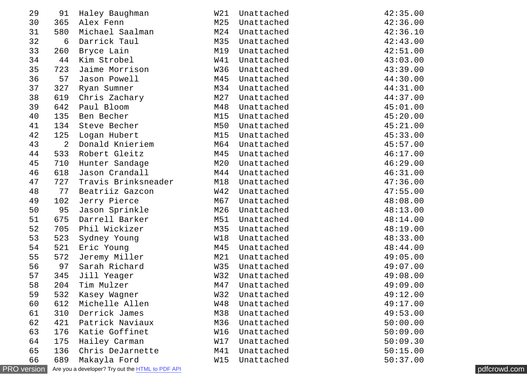| 29                 | 91             | Haley Baughman                                   | W21        | Unattached | 42:35.00 |              |
|--------------------|----------------|--------------------------------------------------|------------|------------|----------|--------------|
| 30                 | 365            | Alex Fenn                                        | M25        | Unattached | 42:36.00 |              |
| 31                 | 580            | Michael Saalman                                  | M24        | Unattached | 42:36.10 |              |
| 32                 | 6              | Darrick Taul                                     | M35        | Unattached | 42:43.00 |              |
| 33                 | 260            | Bryce Lain                                       | M19        | Unattached | 42:51.00 |              |
| 34                 | 44             | Kim Strobel                                      | W41        | Unattached | 43:03.00 |              |
| 35                 | 723            | Jaime Morrison                                   | W36        | Unattached | 43:39.00 |              |
| 36                 | 57             | Jason Powell                                     | M45        | Unattached | 44:30.00 |              |
| 37                 | 327            | Ryan Sumner                                      | M34        | Unattached | 44:31.00 |              |
| 38                 | 619            | Chris Zachary                                    | M27        | Unattached | 44:37.00 |              |
| 39                 | 642            | Paul Bloom                                       | M48        | Unattached | 45:01.00 |              |
| 40                 | 135            | Ben Becher                                       | M15        | Unattached | 45:20.00 |              |
| 41                 |                | 134 Steve Becher                                 | M50        | Unattached | 45:21.00 |              |
| 42                 | 125            | Logan Hubert                                     | M15        | Unattached | 45:33.00 |              |
| 43                 | $\overline{2}$ | Donald Knieriem                                  | M64        | Unattached | 45:57.00 |              |
| 44                 | 533            | Robert Gleitz                                    | M45        | Unattached | 46:17.00 |              |
| 45                 | 710            | Hunter Sandage                                   | M20        | Unattached | 46:29.00 |              |
| 46                 | 618            | Jason Crandall                                   | M44        | Unattached | 46:31.00 |              |
| 47                 | 727            | Travis Brinksneader                              | M18        | Unattached | 47:36.00 |              |
| 48                 | 77             | Beatriiz Gazcon                                  | W42        | Unattached | 47:55.00 |              |
| 49                 | 102            | Jerry Pierce                                     | M67        | Unattached | 48:08.00 |              |
| 50                 | 95             | Jason Sprinkle                                   | M26        | Unattached | 48:13.00 |              |
| 51                 | 675            | Darrell Barker                                   | M51        | Unattached | 48:14.00 |              |
| 52                 | 705            | Phil Wickizer                                    | M35        | Unattached | 48:19.00 |              |
| 53                 | 523            | Sydney Young                                     | W18        | Unattached | 48:33.00 |              |
| 54                 | 521            | Eric Young                                       | M45        | Unattached | 48:44.00 |              |
| 55                 | 572            | Jeremy Miller                                    | M21        | Unattached | 49:05.00 |              |
| 56                 | 97             | Sarah Richard                                    | W35        | Unattached | 49:07.00 |              |
| 57                 | 345            | Jill Yeager                                      | W32        | Unattached | 49:08.00 |              |
| 58                 | 204            | Tim Mulzer                                       | M47        | Unattached | 49:09.00 |              |
| 59                 | 532            | Kasey Wagner                                     | W32        | Unattached | 49:12.00 |              |
| 60                 | 612            | Michelle Allen                                   | <b>W48</b> | Unattached | 49:17.00 |              |
| 61                 | 310            | Derrick James                                    | M38        | Unattached | 49:53.00 |              |
| 62                 | 421            | Patrick Naviaux                                  | M36        | Unattached | 50:00.00 |              |
| 63                 | 176            | Katie Goffinet                                   | W16        | Unattached | 50:09.00 |              |
| 64                 | 175            | Hailey Carman                                    | W17        | Unattached | 50:09.30 |              |
| 65                 | 136            | Chris DeJarnette                                 | M41        | Unattached | 50:15.00 |              |
| 66                 | 689            | Makayla Ford                                     | W15        | Unattached | 50:37.00 |              |
| <b>PRO</b> version |                | Are you a developer? Try out the HTML to PDF API |            |            |          | pdfcrowd.com |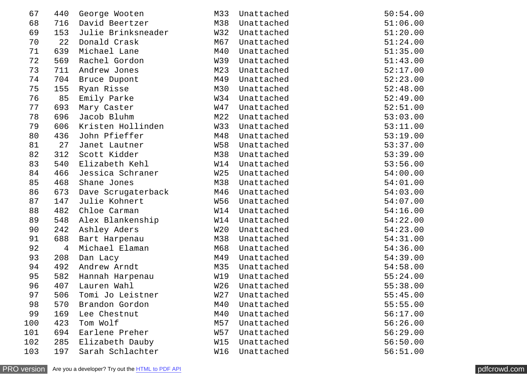| 67  | 440 | George Wooten      | M33             | Unattached | 50:54.00 |
|-----|-----|--------------------|-----------------|------------|----------|
| 68  | 716 | David Beertzer     | M38             | Unattached | 51:06.00 |
| 69  | 153 | Julie Brinksneader | W32             | Unattached | 51:20.00 |
| 70  | 22  | Donald Crask       | M67             | Unattached | 51:24.00 |
| 71  | 639 | Michael Lane       | M40             | Unattached | 51:35.00 |
| 72  | 569 | Rachel Gordon      | W39             | Unattached | 51:43.00 |
| 73  | 711 | Andrew Jones       | M23             | Unattached | 52:17.00 |
| 74  | 704 | Bruce Dupont       | M49             | Unattached | 52:23.00 |
| 75  | 155 | Ryan Risse         | M30             | Unattached | 52:48.00 |
| 76  | 85  | Emily Parke        | W34             | Unattached | 52:49.00 |
| 77  | 693 | Mary Caster        | W47             | Unattached | 52:51.00 |
| 78  | 696 | Jacob Bluhm        | M22             | Unattached | 53:03.00 |
| 79  | 606 | Kristen Hollinden  | W33             | Unattached | 53:11.00 |
| 80  | 436 | John Pfieffer      | M48             | Unattached | 53:19.00 |
| 81  | 27  | Janet Lautner      | <b>W58</b>      | Unattached | 53:37.00 |
| 82  | 312 | Scott Kidder       | M38             | Unattached | 53:39.00 |
| 83  | 540 | Elizabeth Kehl     | W14             | Unattached | 53:56.00 |
| 84  | 466 | Jessica Schraner   | W <sub>25</sub> | Unattached | 54:00.00 |
| 85  | 468 | Shane Jones        | M38             | Unattached | 54:01.00 |
| 86  | 673 | Dave Scrugaterback | M46             | Unattached | 54:03.00 |
| 87  | 147 | Julie Kohnert      | W56             | Unattached | 54:07.00 |
| 88  | 482 | Chloe Carman       | W14             | Unattached | 54:16.00 |
| 89  | 548 | Alex Blankenship   | W14             | Unattached | 54:22.00 |
| 90  | 242 | Ashley Aders       | W20             | Unattached | 54:23.00 |
| 91  | 688 | Bart Harpenau      | M38             | Unattached | 54:31.00 |
| 92  | 4   | Michael Elaman     | M68             | Unattached | 54:36.00 |
| 93  | 208 | Dan Lacy           | M49             | Unattached | 54:39.00 |
| 94  | 492 | Andrew Arndt       | M35             | Unattached | 54:58.00 |
| 95  | 582 | Hannah Harpenau    | W19             | Unattached | 55:24.00 |
| 96  | 407 | Lauren Wahl        | W <sub>26</sub> | Unattached | 55:38.00 |
| 97  | 506 | Tomi Jo Leistner   | W <sub>27</sub> | Unattached | 55:45.00 |
| 98  | 570 | Brandon Gordon     | M40             | Unattached | 55:55.00 |
| 99  | 169 | Lee Chestnut       | M40             | Unattached | 56:17.00 |
| 100 | 423 | Tom Wolf           | M57             | Unattached | 56:26.00 |
| 101 | 694 | Earlene Preher     | W57             | Unattached | 56:29.00 |
| 102 | 285 | Elizabeth Dauby    | W15             | Unattached | 56:50.00 |
| 103 | 197 | Sarah Schlachter   | W16             | Unattached | 56:51.00 |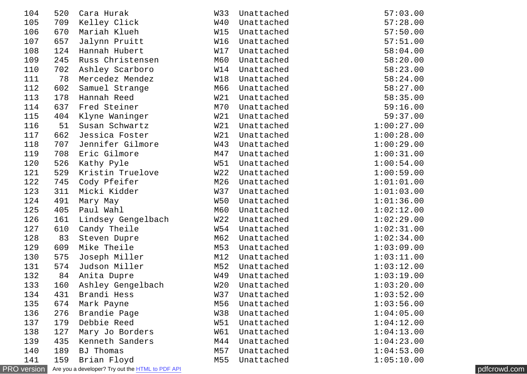| 104                | 520 | Cara Hurak                                       | W33 | Unattached | 57:03.00   |              |
|--------------------|-----|--------------------------------------------------|-----|------------|------------|--------------|
| 105                | 709 | Kelley Click                                     | W40 | Unattached | 57:28.00   |              |
| 106                | 670 | Mariah Klueh                                     | W15 | Unattached | 57:50.00   |              |
| 107                | 657 | Jalynn Pruitt                                    | W16 | Unattached | 57:51.00   |              |
| 108                | 124 | Hannah Hubert                                    | W17 | Unattached | 58:04.00   |              |
| 109                | 245 | Russ Christensen                                 | M60 | Unattached | 58:20.00   |              |
| 110                | 702 | Ashley Scarboro                                  | W14 | Unattached | 58:23.00   |              |
| 111                | 78  | Mercedez Mendez                                  | W18 | Unattached | 58:24.00   |              |
| 112                | 602 | Samuel Strange                                   | M66 | Unattached | 58:27.00   |              |
| 113                | 178 | Hannah Reed                                      | W21 | Unattached | 58:35.00   |              |
| 114                | 637 | Fred Steiner                                     | M70 | Unattached | 59:16.00   |              |
| 115                | 404 | Klyne Waninger                                   | W21 | Unattached | 59:37.00   |              |
| 116                | 51  | Susan Schwartz                                   | W21 | Unattached | 1:00:27.00 |              |
| 117                | 662 | Jessica Foster                                   | W21 | Unattached | 1:00:28.00 |              |
| 118                | 707 | Jennifer Gilmore                                 | W43 | Unattached | 1:00:29.00 |              |
| 119                | 708 | Eric Gilmore                                     | M47 | Unattached | 1:00:31.00 |              |
| 120                | 526 | Kathy Pyle                                       | W51 | Unattached | 1:00:54.00 |              |
| 121                | 529 | Kristin Truelove                                 | W22 | Unattached | 1:00:59.00 |              |
| 122                | 745 | Cody Pfeifer                                     | M26 | Unattached | 1:01:01.00 |              |
| 123                | 311 | Micki Kidder                                     | W37 | Unattached | 1:01:03.00 |              |
| 124                | 491 | Mary May                                         | W50 | Unattached | 1:01:36.00 |              |
| 125                | 405 | Paul Wahl                                        | M60 | Unattached | 1:02:12.00 |              |
| 126                | 161 | Lindsey Gengelbach                               | W22 | Unattached | 1:02:29.00 |              |
| 127                | 610 | Candy Theile                                     | W54 | Unattached | 1:02:31.00 |              |
| 128                | 83  | Steven Dupre                                     | M62 | Unattached | 1:02:34.00 |              |
| 129                | 609 | Mike Theile                                      | M53 | Unattached | 1:03:09.00 |              |
| 130                | 575 | Joseph Miller                                    | M12 | Unattached | 1:03:11.00 |              |
| 131                | 574 | Judson Miller                                    | M52 | Unattached | 1:03:12.00 |              |
| 132                | 84  | Anita Dupre                                      | W49 | Unattached | 1:03:19.00 |              |
| 133                | 160 | Ashley Gengelbach                                | W20 | Unattached | 1:03:20.00 |              |
| 134                | 431 | Brandi Hess                                      | W37 | Unattached | 1:03:52.00 |              |
| 135                | 674 | Mark Payne                                       | M56 | Unattached | 1:03:56.00 |              |
| 136                | 276 | Brandie Page                                     | W38 | Unattached | 1:04:05.00 |              |
| 137                | 179 | Debbie Reed                                      | W51 | Unattached | 1:04:12.00 |              |
| 138                | 127 | Mary Jo Borders                                  | W61 | Unattached | 1:04:13.00 |              |
| 139                | 435 | Kenneth Sanders                                  | M44 | Unattached | 1:04:23.00 |              |
| 140                | 189 | <b>BJ Thomas</b>                                 | M57 | Unattached | 1:04:53.00 |              |
| 141                | 159 | Brian Floyd                                      | M55 | Unattached | 1:05:10.00 |              |
| <b>PRO</b> version |     | Are you a developer? Try out the HTML to PDF API |     |            |            | pdfcrowd.com |